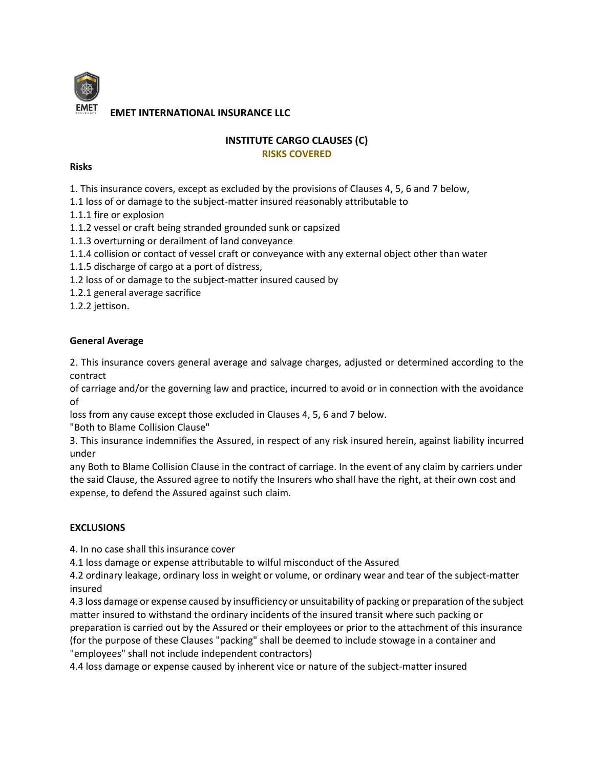

**EMET INTERNATIONAL INSURANCE LLC** 

# **INSTITUTE CARGO CLAUSES (C) RISKS COVERED**

#### **Risks**

1. This insurance covers, except as excluded by the provisions of Clauses 4, 5, 6 and 7 below,

- 1.1 loss of or damage to the subject-matter insured reasonably attributable to
- 1.1.1 fire or explosion
- 1.1.2 vessel or craft being stranded grounded sunk or capsized
- 1.1.3 overturning or derailment of land conveyance
- 1.1.4 collision or contact of vessel craft or conveyance with any external object other than water
- 1.1.5 discharge of cargo at a port of distress,
- 1.2 loss of or damage to the subject-matter insured caused by
- 1.2.1 general average sacrifice

1.2.2 jettison.

#### **General Average**

2. This insurance covers general average and salvage charges, adjusted or determined according to the contract

of carriage and/or the governing law and practice, incurred to avoid or in connection with the avoidance of

loss from any cause except those excluded in Clauses 4, 5, 6 and 7 below.

"Both to Blame Collision Clause"

3. This insurance indemnifies the Assured, in respect of any risk insured herein, against liability incurred under

any Both to Blame Collision Clause in the contract of carriage. In the event of any claim by carriers under the said Clause, the Assured agree to notify the Insurers who shall have the right, at their own cost and expense, to defend the Assured against such claim.

## **EXCLUSIONS**

4. In no case shall this insurance cover

4.1 loss damage or expense attributable to wilful misconduct of the Assured

4.2 ordinary leakage, ordinary loss in weight or volume, or ordinary wear and tear of the subject-matter insured

4.3 loss damage or expense caused by insufficiency or unsuitability of packing or preparation of the subject matter insured to withstand the ordinary incidents of the insured transit where such packing or preparation is carried out by the Assured or their employees or prior to the attachment of this insurance (for the purpose of these Clauses "packing" shall be deemed to include stowage in a container and "employees" shall not include independent contractors)

4.4 loss damage or expense caused by inherent vice or nature of the subject-matter insured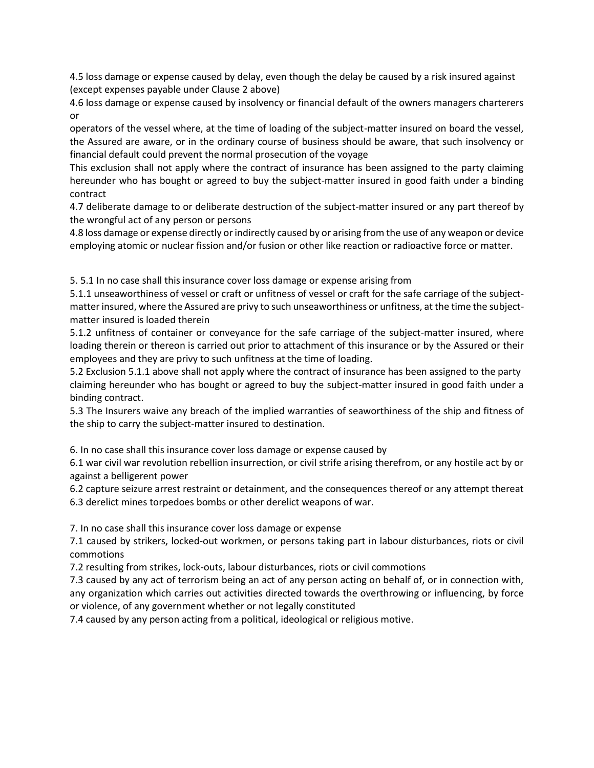4.5 loss damage or expense caused by delay, even though the delay be caused by a risk insured against (except expenses payable under Clause 2 above)

4.6 loss damage or expense caused by insolvency or financial default of the owners managers charterers or

operators of the vessel where, at the time of loading of the subject-matter insured on board the vessel, the Assured are aware, or in the ordinary course of business should be aware, that such insolvency or financial default could prevent the normal prosecution of the voyage

This exclusion shall not apply where the contract of insurance has been assigned to the party claiming hereunder who has bought or agreed to buy the subject-matter insured in good faith under a binding contract

4.7 deliberate damage to or deliberate destruction of the subject-matter insured or any part thereof by the wrongful act of any person or persons

4.8 loss damage or expense directly or indirectly caused by or arising from the use of any weapon or device employing atomic or nuclear fission and/or fusion or other like reaction or radioactive force or matter.

5. 5.1 In no case shall this insurance cover loss damage or expense arising from

5.1.1 unseaworthiness of vessel or craft or unfitness of vessel or craft for the safe carriage of the subjectmatter insured, where the Assured are privy to such unseaworthiness or unfitness, at the time the subjectmatter insured is loaded therein

5.1.2 unfitness of container or conveyance for the safe carriage of the subject-matter insured, where loading therein or thereon is carried out prior to attachment of this insurance or by the Assured or their employees and they are privy to such unfitness at the time of loading.

5.2 Exclusion 5.1.1 above shall not apply where the contract of insurance has been assigned to the party claiming hereunder who has bought or agreed to buy the subject-matter insured in good faith under a binding contract.

5.3 The Insurers waive any breach of the implied warranties of seaworthiness of the ship and fitness of the ship to carry the subject-matter insured to destination.

6. In no case shall this insurance cover loss damage or expense caused by

6.1 war civil war revolution rebellion insurrection, or civil strife arising therefrom, or any hostile act by or against a belligerent power

6.2 capture seizure arrest restraint or detainment, and the consequences thereof or any attempt thereat 6.3 derelict mines torpedoes bombs or other derelict weapons of war.

7. In no case shall this insurance cover loss damage or expense

7.1 caused by strikers, locked-out workmen, or persons taking part in labour disturbances, riots or civil commotions

7.2 resulting from strikes, lock-outs, labour disturbances, riots or civil commotions

7.3 caused by any act of terrorism being an act of any person acting on behalf of, or in connection with, any organization which carries out activities directed towards the overthrowing or influencing, by force or violence, of any government whether or not legally constituted

7.4 caused by any person acting from a political, ideological or religious motive.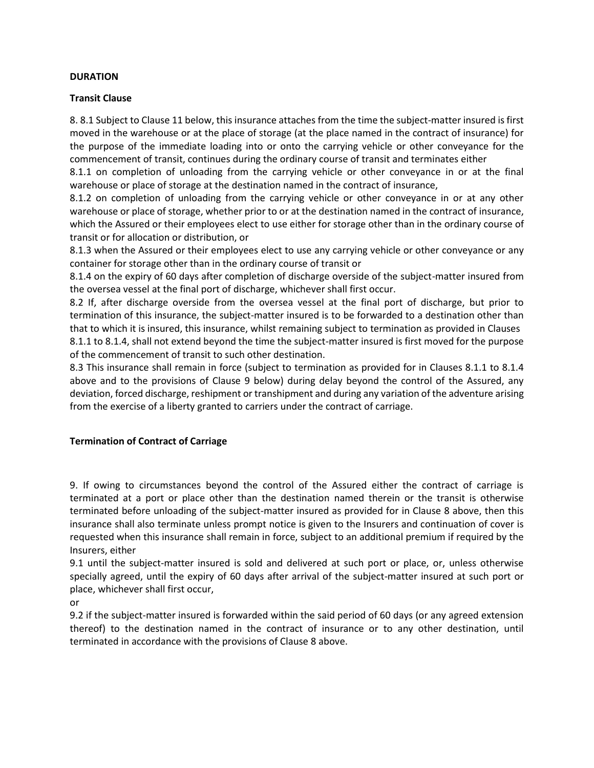## **DURATION**

#### **Transit Clause**

8. 8.1 Subject to Clause 11 below, this insurance attaches from the time the subject-matter insured is first moved in the warehouse or at the place of storage (at the place named in the contract of insurance) for the purpose of the immediate loading into or onto the carrying vehicle or other conveyance for the commencement of transit, continues during the ordinary course of transit and terminates either

8.1.1 on completion of unloading from the carrying vehicle or other conveyance in or at the final warehouse or place of storage at the destination named in the contract of insurance,

8.1.2 on completion of unloading from the carrying vehicle or other conveyance in or at any other warehouse or place of storage, whether prior to or at the destination named in the contract of insurance, which the Assured or their employees elect to use either for storage other than in the ordinary course of transit or for allocation or distribution, or

8.1.3 when the Assured or their employees elect to use any carrying vehicle or other conveyance or any container for storage other than in the ordinary course of transit or

8.1.4 on the expiry of 60 days after completion of discharge overside of the subject-matter insured from the oversea vessel at the final port of discharge, whichever shall first occur.

8.2 If, after discharge overside from the oversea vessel at the final port of discharge, but prior to termination of this insurance, the subject-matter insured is to be forwarded to a destination other than that to which it is insured, this insurance, whilst remaining subject to termination as provided in Clauses 8.1.1 to 8.1.4, shall not extend beyond the time the subject-matter insured is first moved for the purpose of the commencement of transit to such other destination.

8.3 This insurance shall remain in force (subject to termination as provided for in Clauses 8.1.1 to 8.1.4 above and to the provisions of Clause 9 below) during delay beyond the control of the Assured, any deviation, forced discharge, reshipment or transhipment and during any variation of the adventure arising from the exercise of a liberty granted to carriers under the contract of carriage.

## **Termination of Contract of Carriage**

9. If owing to circumstances beyond the control of the Assured either the contract of carriage is terminated at a port or place other than the destination named therein or the transit is otherwise terminated before unloading of the subject-matter insured as provided for in Clause 8 above, then this insurance shall also terminate unless prompt notice is given to the Insurers and continuation of cover is requested when this insurance shall remain in force, subject to an additional premium if required by the Insurers, either

9.1 until the subject-matter insured is sold and delivered at such port or place, or, unless otherwise specially agreed, until the expiry of 60 days after arrival of the subject-matter insured at such port or place, whichever shall first occur,

or

9.2 if the subject-matter insured is forwarded within the said period of 60 days (or any agreed extension thereof) to the destination named in the contract of insurance or to any other destination, until terminated in accordance with the provisions of Clause 8 above.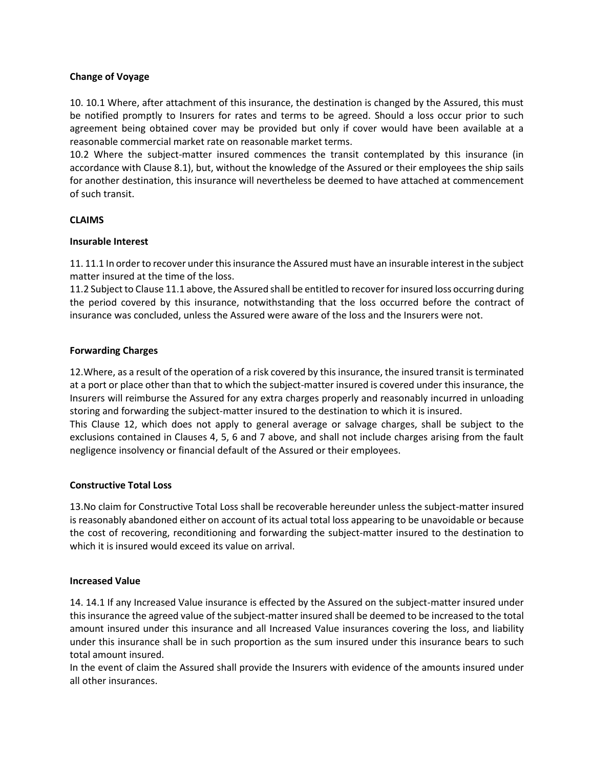#### **Change of Voyage**

10. 10.1 Where, after attachment of this insurance, the destination is changed by the Assured, this must be notified promptly to Insurers for rates and terms to be agreed. Should a loss occur prior to such agreement being obtained cover may be provided but only if cover would have been available at a reasonable commercial market rate on reasonable market terms.

10.2 Where the subject-matter insured commences the transit contemplated by this insurance (in accordance with Clause 8.1), but, without the knowledge of the Assured or their employees the ship sails for another destination, this insurance will nevertheless be deemed to have attached at commencement of such transit.

## **CLAIMS**

## **Insurable Interest**

11. 11.1 In order to recover under this insurance the Assured must have an insurable interest in the subject matter insured at the time of the loss.

11.2 Subject to Clause 11.1 above, the Assured shall be entitled to recover for insured loss occurring during the period covered by this insurance, notwithstanding that the loss occurred before the contract of insurance was concluded, unless the Assured were aware of the loss and the Insurers were not.

## **Forwarding Charges**

12.Where, as a result of the operation of a risk covered by this insurance, the insured transit is terminated at a port or place other than that to which the subject-matter insured is covered under this insurance, the Insurers will reimburse the Assured for any extra charges properly and reasonably incurred in unloading storing and forwarding the subject-matter insured to the destination to which it is insured.

This Clause 12, which does not apply to general average or salvage charges, shall be subject to the exclusions contained in Clauses 4, 5, 6 and 7 above, and shall not include charges arising from the fault negligence insolvency or financial default of the Assured or their employees.

## **Constructive Total Loss**

13.No claim for Constructive Total Loss shall be recoverable hereunder unless the subject-matter insured is reasonably abandoned either on account of its actual total loss appearing to be unavoidable or because the cost of recovering, reconditioning and forwarding the subject-matter insured to the destination to which it is insured would exceed its value on arrival.

## **Increased Value**

14. 14.1 If any Increased Value insurance is effected by the Assured on the subject-matter insured under this insurance the agreed value of the subject-matter insured shall be deemed to be increased to the total amount insured under this insurance and all Increased Value insurances covering the loss, and liability under this insurance shall be in such proportion as the sum insured under this insurance bears to such total amount insured.

In the event of claim the Assured shall provide the Insurers with evidence of the amounts insured under all other insurances.